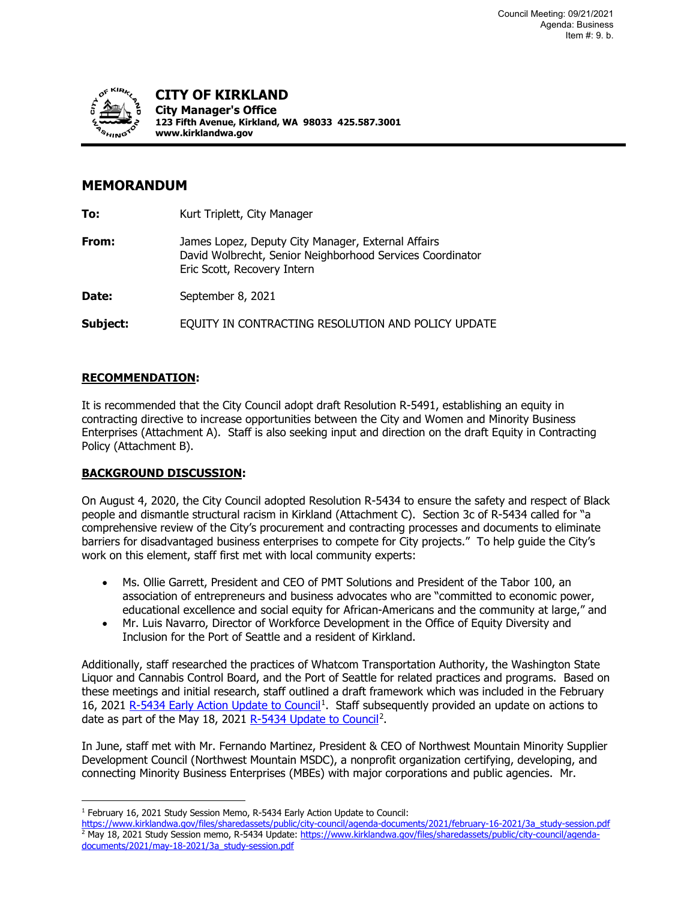

**CITY OF KIRKLAND**

**City Manager's Office 123 Fifth Avenue, Kirkland, WA 98033 425.587.3001 www.kirklandwa.gov**

# **MEMORANDUM**

| To:      | Kurt Triplett, City Manager                                                                                                                    |
|----------|------------------------------------------------------------------------------------------------------------------------------------------------|
| From:    | James Lopez, Deputy City Manager, External Affairs<br>David Wolbrecht, Senior Neighborhood Services Coordinator<br>Eric Scott, Recovery Intern |
| Date:    | September 8, 2021                                                                                                                              |
| Subject: | EQUITY IN CONTRACTING RESOLUTION AND POLICY UPDATE                                                                                             |

# **RECOMMENDATION:**

It is recommended that the City Council adopt draft Resolution R-5491, establishing an equity in contracting directive to increase opportunities between the City and Women and Minority Business Enterprises (Attachment A). Staff is also seeking input and direction on the draft Equity in Contracting Policy (Attachment B).

## **BACKGROUND DISCUSSION:**

On August 4, 2020, the City Council adopted Resolution R-5434 to ensure the safety and respect of Black people and dismantle structural racism in Kirkland (Attachment C). Section 3c of R-5434 called for "a comprehensive review of the City's procurement and contracting processes and documents to eliminate barriers for disadvantaged business enterprises to compete for City projects." To help guide the City's work on this element, staff first met with local community experts:

- Ms. Ollie Garrett, President and CEO of PMT Solutions and President of the Tabor 100, an association of entrepreneurs and business advocates who are "committed to economic power, educational excellence and social equity for African-Americans and the community at large," and
- Mr. Luis Navarro, Director of Workforce Development in the Office of Equity Diversity and Inclusion for the Port of Seattle and a resident of Kirkland.

Additionally, staff researched the practices of Whatcom Transportation Authority, the Washington State Liquor and Cannabis Control Board, and the Port of Seattle for related practices and programs. Based on these meetings and initial research, staff outlined a draft framework which was included in the February 16, 2021 [R-5434 Early Action Update to Council](https://www.kirklandwa.gov/files/sharedassets/public/city-council/agenda-documents/2021/february-16-2021/3a_study-session.pdf)<sup>[1](#page-0-0)</sup>. Staff subsequently provided an update on actions to date as part of the May 18, 2021 [R-5434 Update to Council](https://www.kirklandwa.gov/files/sharedassets/public/city-council/agenda-documents/2021/may-18-2021/3a_study-session.pdf)<sup>[2](#page-0-1)</sup>.

In June, staff met with Mr. Fernando Martinez, President & CEO of Northwest Mountain Minority Supplier Development Council (Northwest Mountain MSDC), a nonprofit organization certifying, developing, and connecting Minority Business Enterprises (MBEs) with major corporations and public agencies. Mr.

<span id="page-0-0"></span><sup>&</sup>lt;sup>1</sup> February 16, 2021 Study Session Memo, R-5434 Early Action Update to Council:

<span id="page-0-1"></span>[https://www.kirklandwa.gov/files/sharedassets/public/city-council/agenda-documents/2021/february-16-2021/3a\\_study-session.pdf](https://www.kirklandwa.gov/files/sharedassets/public/city-council/agenda-documents/2021/february-16-2021/3a_study-session.pdf) <sup>2</sup> May 18, 2021 Study Session memo, R-5434 Update[: https://www.kirklandwa.gov/files/sharedassets/public/city-council/agenda](https://www.kirklandwa.gov/files/sharedassets/public/city-council/agenda-documents/2021/may-18-2021/3a_study-session.pdf)[documents/2021/may-18-2021/3a\\_study-session.pdf](https://www.kirklandwa.gov/files/sharedassets/public/city-council/agenda-documents/2021/may-18-2021/3a_study-session.pdf)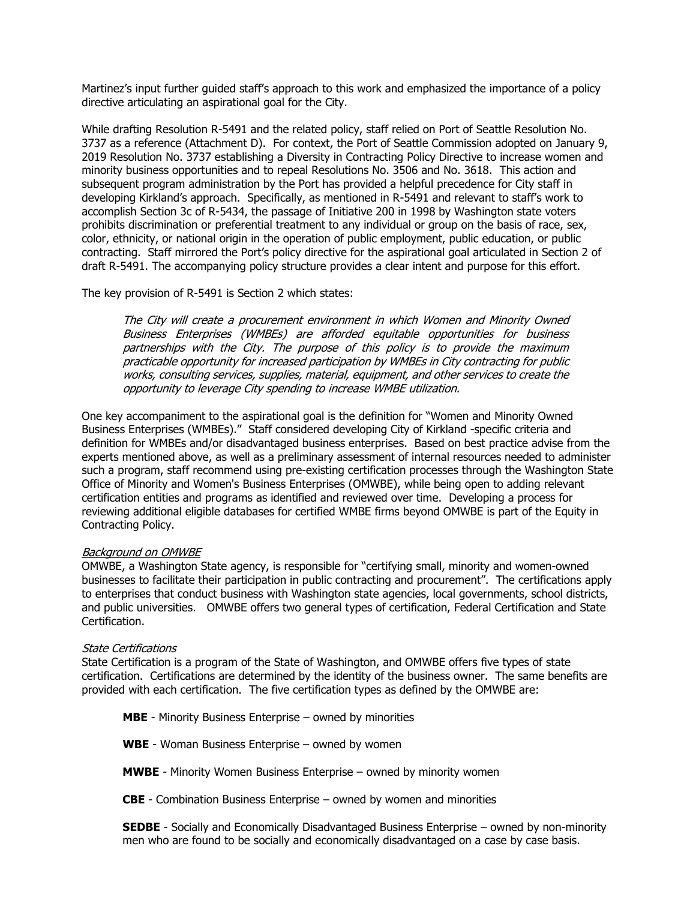Martinez's input further guided staff's approach to this work and emphasized the importance of a policy directive articulating an aspirational goal for the City.

While drafting Resolution R-5491 and the related policy, staff relied on Port of Seattle Resolution No. 3737 as a reference (Attachment D). For context, the Port of Seattle Commission adopted on January 9, 2019 Resolution No. 3737 establishing a Diversity in Contracting Policy Directive to increase women and minority business opportunities and to repeal Resolutions No. 3506 and No. 3618. This action and subsequent program administration by the Port has provided a helpful precedence for City staff in developing Kirkland's approach. Specifically, as mentioned in R-5491 and relevant to staff's work to accomplish Section 3c of R-5434, the passage of Initiative 200 in 1998 by Washington state voters prohibits discrimination or preferential treatment to any individual or group on the basis of race, sex, color, ethnicity, or national origin in the operation of public employment, public education, or public contracting. Staff mirrored the Port's policy directive for the aspirational goal articulated in Section 2 of draft R-5491. The accompanying policy structure provides a clear intent and purpose for this effort.

The key provision of R-5491 is Section 2 which states:

The City will create a procurement environment in which Women and Minority Owned Business Enterprises (WMBEs) are afforded equitable opportunities for business partnerships with the City. The purpose of this policy is to provide the maximum practicable opportunity for increased participation by WMBEs in City contracting for public works, consulting services, supplies, material, equipment, and other services to create the opportunity to leverage City spending to increase WMBE utilization.

One key accompaniment to the aspirational goal is the definition for "Women and Minority Owned Business Enterprises (WMBEs)." Staff considered developing City of Kirkland -specific criteria and definition for WMBEs and/or disadvantaged business enterprises. Based on best practice advise from the experts mentioned above, as well as a preliminary assessment of internal resources needed to administer such a program, staff recommend using pre-existing certification processes through the Washington State Office of Minority and Women's Business Enterprises (OMWBE), while being open to adding relevant certification entities and programs as identified and reviewed over time. Developing a process for reviewing additional eligible databases for certified WMBE firms beyond OMWBE is part of the Equity in Contracting Policy.

#### Background on OMWBE

OMWBE, a Washington State agency, is responsible for "certifying small, minority and women-owned businesses to facilitate their participation in public contracting and procurement". The certifications apply to enterprises that conduct business with Washington state agencies, local governments, school districts, and public universities. OMWBE offers two general types of certification, Federal Certification and State Certification.

#### State Certifications

State Certification is a program of the State of Washington, and OMWBE offers five types of state certification. Certifications are determined by the identity of the business owner. The same benefits are provided with each certification. The five certification types as defined by the OMWBE are:

**MBE** - Minority Business Enterprise – owned by minorities

**WBE** - Woman Business Enterprise – owned by women

**MWBE** - Minority Women Business Enterprise – owned by minority women

**CBE** - Combination Business Enterprise – owned by women and minorities

**SEDBE** - Socially and Economically Disadvantaged Business Enterprise – owned by non-minority men who are found to be socially and economically disadvantaged on a case by case basis.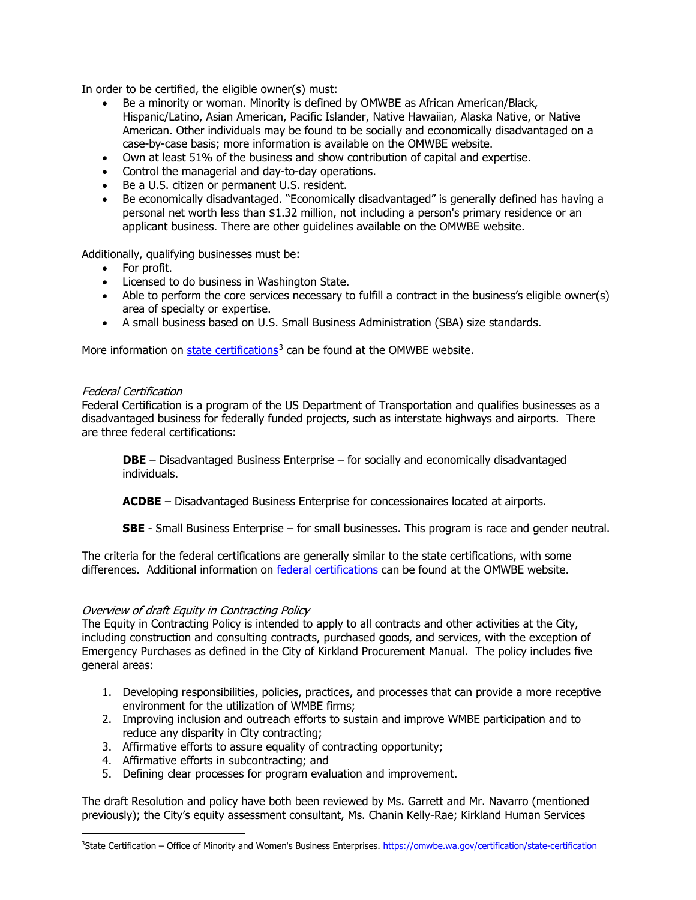In order to be certified, the eligible owner(s) must:

- Be a minority or woman. Minority is defined by OMWBE as African American/Black, Hispanic/Latino, Asian American, Pacific Islander, Native Hawaiian, Alaska Native, or Native American. Other individuals may be found to be socially and economically disadvantaged on a case-by-case basis; more information is available on the OMWBE website.
- Own at least 51% of the business and show contribution of capital and expertise.
- Control the managerial and day-to-day operations.
- Be a U.S. citizen or permanent U.S. resident.
- Be economically disadvantaged. "Economically disadvantaged" is generally defined has having a personal net worth less than \$1.32 million, not including a person's primary residence or an applicant business. There are other guidelines available on the OMWBE website.

Additionally, qualifying businesses must be:

- For profit.
- Licensed to do business in Washington State.
- Able to perform the core services necessary to fulfill a contract in the business's eligible owner(s) area of specialty or expertise.
- A small business based on U.S. Small Business Administration (SBA) size standards.

More information on [state certifications](https://omwbe.wa.gov/certification/state-certification)<sup>[3](#page-2-0)</sup> can be found at the OMWBE website.

#### Federal Certification

Federal Certification is a program of the US Department of Transportation and qualifies businesses as a disadvantaged business for federally funded projects, such as interstate highways and airports. There are three federal certifications:

**DBE** – Disadvantaged Business Enterprise – for socially and economically disadvantaged individuals.

**ACDBE** – Disadvantaged Business Enterprise for concessionaires located at airports.

**SBE** - Small Business Enterprise – for small businesses. This program is race and gender neutral.

The criteria for the federal certifications are generally similar to the state certifications, with some differences. Additional information on [federal certifications](https://omwbe.wa.gov/certification/federal-certification) can be found at the OMWBE website.

### Overview of draft Equity in Contracting Policy

The Equity in Contracting Policy is intended to apply to all contracts and other activities at the City, including construction and consulting contracts, purchased goods, and services, with the exception of Emergency Purchases as defined in the City of Kirkland Procurement Manual. The policy includes five general areas:

- 1. Developing responsibilities, policies, practices, and processes that can provide a more receptive environment for the utilization of WMBE firms;
- 2. Improving inclusion and outreach efforts to sustain and improve WMBE participation and to reduce any disparity in City contracting;
- 3. Affirmative efforts to assure equality of contracting opportunity;
- 4. Affirmative efforts in subcontracting; and
- 5. Defining clear processes for program evaluation and improvement.

The draft Resolution and policy have both been reviewed by Ms. Garrett and Mr. Navarro (mentioned previously); the City's equity assessment consultant, Ms. Chanin Kelly-Rae; Kirkland Human Services

<span id="page-2-0"></span>3 State Certification – Office of Minority and Women's Business Enterprises.<https://omwbe.wa.gov/certification/state-certification>